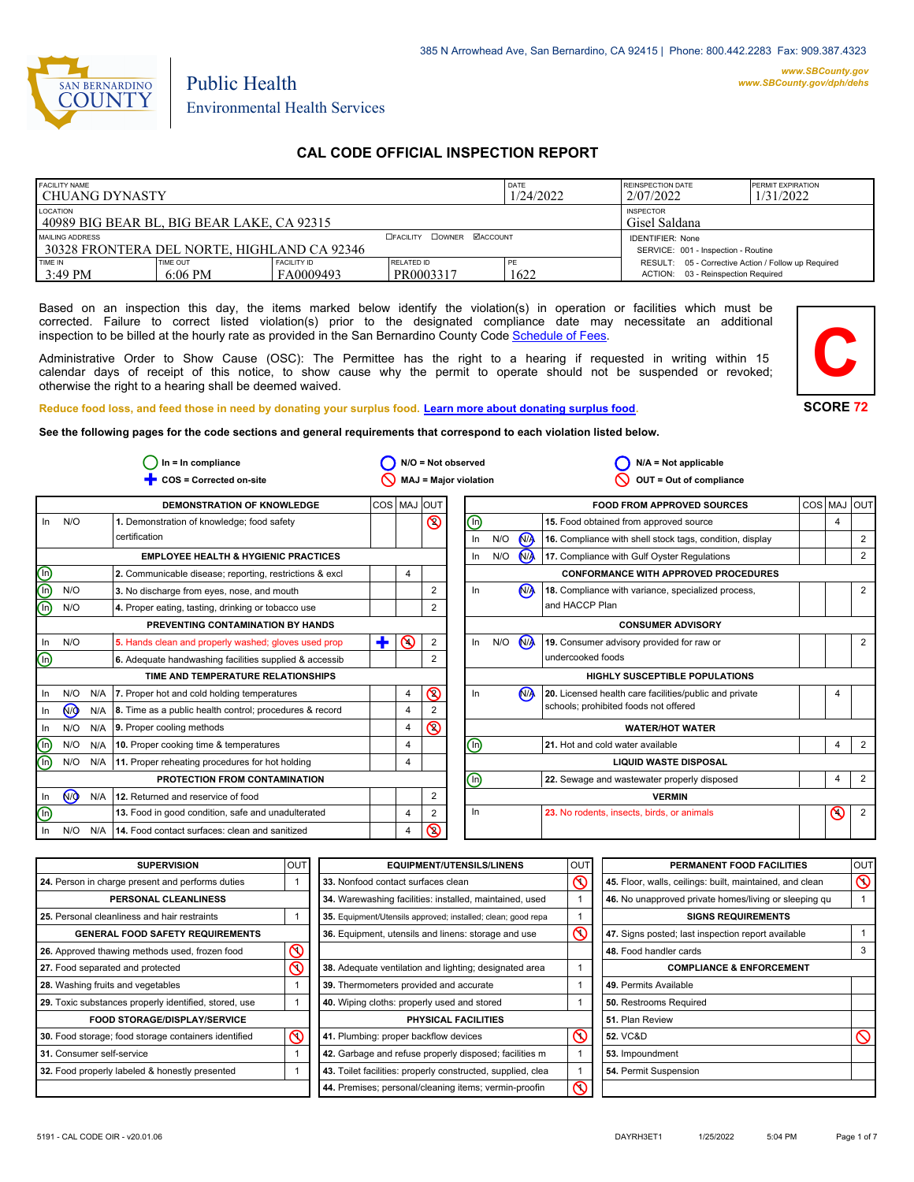

# Public Health Environmental Health Services

## **CAL CODE OFFICIAL INSPECTION REPORT**

| <b>FACILITY NAME</b><br>l CHUANG DYNASTY                                                                     |                              |                                 | DATE<br>1/24/2022                 | <b>REINSPECTION DATE</b><br>2/07/2022 | <b>PERMIT EXPIRATION</b><br>1/31/2022                                                     |  |
|--------------------------------------------------------------------------------------------------------------|------------------------------|---------------------------------|-----------------------------------|---------------------------------------|-------------------------------------------------------------------------------------------|--|
| <b>LOCATION</b><br>l 40989 BIG BEAR BL. BIG BEAR LAKE. CA 92315                                              |                              |                                 | <b>INSPECTOR</b><br>Gisel Saldana |                                       |                                                                                           |  |
| <b>DOWNER MACCOUNT</b><br><b>EFACILITY</b><br>MAILING ADDRESS<br>30328 FRONTERA DEL NORTE, HIGHLAND CA 92346 |                              |                                 |                                   |                                       | <b>IDENTIFIER: None</b><br>SERVICE: 001 - Inspection - Routine                            |  |
| <b>TIME IN</b><br>3:49 PM                                                                                    | <b>TIME OUT</b><br>$6:06$ PM | <b>FACILITY ID</b><br>FA0009493 | RELATED ID<br>PR0003317           | 1622                                  | RESULT: 05 - Corrective Action / Follow up Required<br>ACTION: 03 - Reinspection Required |  |

Based on an inspection this day, the items marked below identify the violation(s) in operation or facilities which must be corrected. Failure to correct listed violation(s) prior to the designated compliance date may necessitate an additional inspection to be billed at the hourly rate as provided in the San Bernardino County Co[de Schedule of Fees.](https://codelibrary.amlegal.com/codes/sanbernardino/latest/sanberncty_ca/0-0-0-122474#JD_16.0213B)

Administrative Order to Show Cause (OSC): The Permittee has the right to a hearing if requested in writing within 15 calendar days of receipt of this notice, to show cause why the permit to operate should not be suspended or revoked; otherwise the right to a hearing shall be deemed waived.



#### **Reduce food loss, and feed those in need by donating your surplus f[ood. Learn more about donating surplus food.](https://wp.sbcounty.gov/dph/programs/ehs/charitable-food-service/)**

**See the following pages for the code sections and general requirements that correspond to each violation listed below.**

| $ln = ln$ compliance    |                |     | $N/O = Not observed$                                    |             |                | $N/A = Not applicable$ |                              |     |                      |                                                          |     |                |                |
|-------------------------|----------------|-----|---------------------------------------------------------|-------------|----------------|------------------------|------------------------------|-----|----------------------|----------------------------------------------------------|-----|----------------|----------------|
|                         |                |     | COS = Corrected on-site                                 |             |                |                        | <b>MAJ = Major violation</b> |     |                      | OUT = Out of compliance                                  |     |                |                |
|                         |                |     | <b>DEMONSTRATION OF KNOWLEDGE</b>                       | COS MAJ OUT |                |                        |                              |     |                      | <b>FOOD FROM APPROVED SOURCES</b>                        | COS | <b>MAJ</b>     | loutl          |
| In                      | N/O            |     | 1. Demonstration of knowledge; food safety              |             |                | $\circledcirc$         | 哂                            |     |                      | 15. Food obtained from approved source                   |     | $\overline{4}$ |                |
|                         |                |     | certification                                           |             |                |                        | In                           | N/O | <b>N<sub>A</sub></b> | 16. Compliance with shell stock tags, condition, display |     |                | 2              |
|                         |                |     | <b>EMPLOYEE HEALTH &amp; HYGIENIC PRACTICES</b>         |             |                |                        | In                           | N/O | <b>N<sub>A</sub></b> | 17. Compliance with Gulf Oyster Regulations              |     |                | 2              |
|                         |                |     | 2. Communicable disease; reporting, restrictions & excl |             | 4              |                        |                              |     |                      | <b>CONFORMANCE WITH APPROVED PROCEDURES</b>              |     |                |                |
| <u>මල</u>               | N/O            |     | 3. No discharge from eyes, nose, and mouth              |             |                | 2                      | In                           |     | <b>N<sub>A</sub></b> | 18. Compliance with variance, specialized process,       |     |                | 2              |
| ൹                       | N/O            |     | 4. Proper eating, tasting, drinking or tobacco use      |             |                |                        |                              |     |                      | and HACCP Plan                                           |     |                |                |
|                         |                |     | PREVENTING CONTAMINATION BY HANDS                       |             |                |                        |                              |     |                      | <b>CONSUMER ADVISORY</b>                                 |     |                |                |
| In.                     | N/O            |     | 5. Hands clean and properly washed; gloves used prop    | ٠           | $\odot$        | $\overline{2}$         | In                           | N/O | N                    | 19. Consumer advisory provided for raw or                |     |                | 2              |
| $\overline{\mathbb{O}}$ |                |     | 6. Adequate handwashing facilities supplied & accessib  |             |                | $\overline{2}$         |                              |     |                      | undercooked foods                                        |     |                |                |
|                         |                |     | TIME AND TEMPERATURE RELATIONSHIPS                      |             |                |                        |                              |     |                      | <b>HIGHLY SUSCEPTIBLE POPULATIONS</b>                    |     |                |                |
| In.                     | N/O            | N/A | 7. Proper hot and cold holding temperatures             |             | $\overline{4}$ | $\circledcirc$         | In                           |     | N <sub>A</sub>       | 20. Licensed health care facilities/public and private   |     | 4              |                |
| In.                     | <b>MO</b>      | N/A | 8. Time as a public health control; procedures & record |             | 4              |                        |                              |     |                      | schools; prohibited foods not offered                    |     |                |                |
| In                      | N/O            | N/A | 9. Proper cooling methods                               |             | $\overline{4}$ | $\circledcirc$         |                              |     |                      | <b>WATER/HOT WATER</b>                                   |     |                |                |
| $\mathbb O$             | N/O            | N/A | 10. Proper cooking time & temperatures                  |             | 4              |                        | ⑯                            |     |                      | 21. Hot and cold water available                         |     | 4              | 2              |
| ⋒                       | N/O            | N/A | 11. Proper reheating procedures for hot holding         |             | 4              |                        |                              |     |                      | <b>LIQUID WASTE DISPOSAL</b>                             |     |                |                |
|                         |                |     | PROTECTION FROM CONTAMINATION                           |             |                |                        | $\circledcirc$               |     |                      | 22. Sewage and wastewater properly disposed              |     | $\overline{4}$ | $\overline{2}$ |
| In                      | N <sub>O</sub> | N/A | 12. Returned and reservice of food                      |             |                | 2                      |                              |     |                      | <b>VERMIN</b>                                            |     |                |                |
| $\overline{\bm{\odot}}$ |                |     | 13. Food in good condition, safe and unadulterated      |             | 4              | 2                      | In                           |     |                      | 23. No rodents, insects, birds, or animals               |     | $\odot$        | $\overline{2}$ |
| In.                     | N/O            | N/A | 14. Food contact surfaces: clean and sanitized          |             | 4              | ଷ                      |                              |     |                      |                                                          |     |                |                |

| <b>SUPERVISION</b>                                    | <b>OUT</b> | <b>EQUIPMENT/UTENSILS/LINENS</b>                             | OUT                | PERMANENT FOOD FACILITIES                                | OUT            |
|-------------------------------------------------------|------------|--------------------------------------------------------------|--------------------|----------------------------------------------------------|----------------|
| 24. Person in charge present and performs duties      |            | 33. Nonfood contact surfaces clean                           | $\infty$           | 45. Floor, walls, ceilings: built, maintained, and clean | $\circledcirc$ |
| PERSONAL CLEANLINESS                                  |            | 34. Warewashing facilities: installed, maintained, used      |                    | 46. No unapproved private homes/living or sleeping qu    |                |
| 25. Personal cleanliness and hair restraints          |            | 35. Equipment/Utensils approved; installed; clean; good repa |                    | <b>SIGNS REQUIREMENTS</b>                                |                |
| <b>GENERAL FOOD SAFETY REQUIREMENTS</b>               |            | 36. Equipment, utensils and linens: storage and use          | $\overline{\circ}$ | 47. Signs posted; last inspection report available       |                |
| 26. Approved thawing methods used, frozen food        | ⋒          |                                                              |                    | 48. Food handler cards                                   |                |
| 27. Food separated and protected                      | ⋒          | 38. Adequate ventilation and lighting; designated area       |                    | <b>COMPLIANCE &amp; ENFORCEMENT</b>                      |                |
| 28. Washing fruits and vegetables                     |            | 39. Thermometers provided and accurate                       |                    | 49. Permits Available                                    |                |
| 29. Toxic substances properly identified, stored, use |            | 40. Wiping cloths: properly used and stored                  |                    | 50. Restrooms Required                                   |                |
| <b>FOOD STORAGE/DISPLAY/SERVICE</b>                   |            | <b>PHYSICAL FACILITIES</b>                                   |                    | 51. Plan Review                                          |                |
| 30. Food storage; food storage containers identified  | ⋒          | 41. Plumbing: proper backflow devices                        | $\infty$           | <b>52. VC&amp;D</b>                                      |                |
| 31. Consumer self-service                             |            | 42. Garbage and refuse properly disposed; facilities m       |                    | 53. Impoundment                                          |                |
| 32. Food properly labeled & honestly presented        |            | 43. Toilet facilities: properly constructed, supplied, clea  |                    | 54. Permit Suspension                                    |                |
|                                                       |            | 44. Premises; personal/cleaning items; vermin-proofin        | $\overline{\circ}$ |                                                          |                |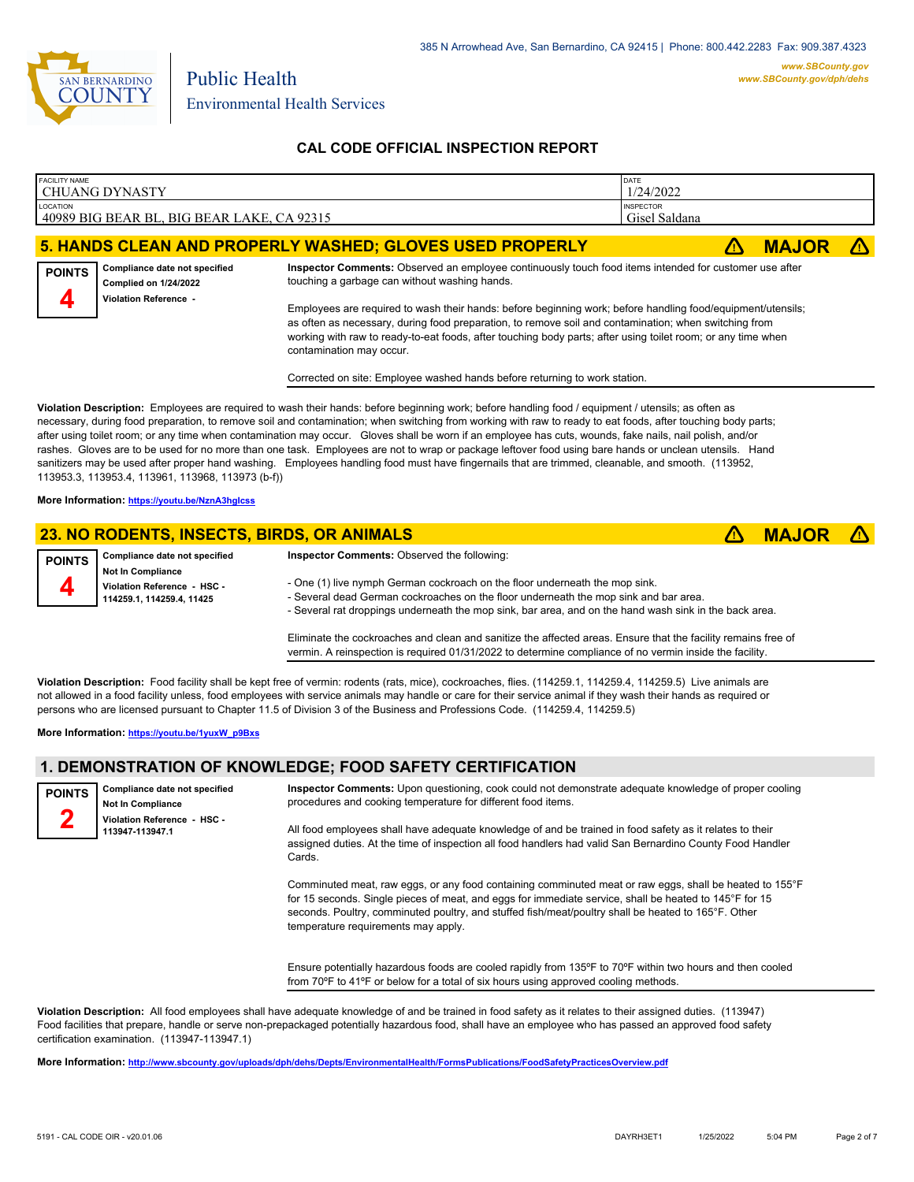

## **CAL CODE OFFICIAL INSPECTION REPORT**

| <b>FACILITY NAME</b>                                                                                                                                                                                                                                                                                                                                                  | l CHUANG DYNASTY                                                                       | DATE<br>1/24/2022                                                                                                                                       |  |  |  |
|-----------------------------------------------------------------------------------------------------------------------------------------------------------------------------------------------------------------------------------------------------------------------------------------------------------------------------------------------------------------------|----------------------------------------------------------------------------------------|---------------------------------------------------------------------------------------------------------------------------------------------------------|--|--|--|
| LOCATION                                                                                                                                                                                                                                                                                                                                                              | 40989 BIG BEAR BL, BIG BEAR LAKE, CA 92315                                             | <b>INSPECTOR</b><br>Gisel Saldana                                                                                                                       |  |  |  |
| 5. HANDS CLEAN AND PROPERLY WASHED; GLOVES USED PROPERLY<br><b>MAJOR</b>                                                                                                                                                                                                                                                                                              |                                                                                        |                                                                                                                                                         |  |  |  |
| <b>POINTS</b>                                                                                                                                                                                                                                                                                                                                                         | Compliance date not specified<br><b>Complied on 1/24/2022</b><br>Violation Reference - | Inspector Comments: Observed an employee continuously touch food items intended for customer use after<br>touching a garbage can without washing hands. |  |  |  |
| 4<br>Employees are required to wash their hands: before beginning work; before handling food/equipment/utensils;<br>as often as necessary, during food preparation, to remove soil and contamination; when switching from<br>working with raw to ready-to-eat foods, after touching body parts; after using toilet room; or any time when<br>contamination may occur. |                                                                                        |                                                                                                                                                         |  |  |  |

Corrected on site: Employee washed hands before returning to work station.

**Violation Description:** Employees are required to wash their hands: before beginning work; before handling food / equipment / utensils; as often as necessary, during food preparation, to remove soil and contamination; when switching from working with raw to ready to eat foods, after touching body parts; after using toilet room; or any time when contamination may occur. Gloves shall be worn if an employee has cuts, wounds, fake nails, nail polish, and/or rashes. Gloves are to be used for no more than one task. Employees are not to wrap or package leftover food using bare hands or unclean utensils. Hand sanitizers may be used after proper hand washing. Employees handling food must have fingernails that are trimmed, cleanable, and smooth. (113952, 113953.3, 113953.4, 113961, 113968, 113973 (b-f))

**More Information: <https://youtu.be/NznA3hgIcss>**

## **23. NO RODENTS, INSECTS, BIRDS, OR ANIMALS** ê**! MAJOR** ê**!**

| <b>POINTS</b> | <b>Compliance date not specified</b>                                                 | <b>Inspector Comments: Observed the following:</b>                                                                                                                                                                                                                            |
|---------------|--------------------------------------------------------------------------------------|-------------------------------------------------------------------------------------------------------------------------------------------------------------------------------------------------------------------------------------------------------------------------------|
|               | <b>Not In Compliance</b><br>Violation Reference - HSC -<br>114259.1, 114259.4, 11425 | - One (1) live nymph German cockroach on the floor underneath the mop sink.<br>- Several dead German cockroaches on the floor underneath the mop sink and bar area.<br>- Several rat droppings underneath the mop sink, bar area, and on the hand wash sink in the back area. |
|               |                                                                                      |                                                                                                                                                                                                                                                                               |

Eliminate the cockroaches and clean and sanitize the affected areas. Ensure that the facility remains free of vermin. A reinspection is required 01/31/2022 to determine compliance of no vermin inside the facility.

**Violation Description:** Food facility shall be kept free of vermin: rodents (rats, mice), cockroaches, flies. (114259.1, 114259.4, 114259.5) Live animals are not allowed in a food facility unless, food employees with service animals may handle or care for their service animal if they wash their hands as required or persons who are licensed pursuant to Chapter 11.5 of Division 3 of the Business and Professions Code. (114259.4, 114259.5)

**More Information: [https://youtu.be/1yuxW\\_p9Bxs](https://youtu.be/1yuxW_p9Bxs)**

# **1. DEMONSTRATION OF KNOWLEDGE; FOOD SAFETY CERTIFICATION**

**Compliance date not specified Not In Compliance Violation Reference - HSC - 113947-113947.1 POINTS**

**Inspector Comments:** Upon questioning, cook could not demonstrate adequate knowledge of proper cooling procedures and cooking temperature for different food items.

All food employees shall have adequate knowledge of and be trained in food safety as it relates to their assigned duties. At the time of inspection all food handlers had valid San Bernardino County Food Handler Cards.

Comminuted meat, raw eggs, or any food containing comminuted meat or raw eggs, shall be heated to 155°F for 15 seconds. Single pieces of meat, and eggs for immediate service, shall be heated to 145°F for 15 seconds. Poultry, comminuted poultry, and stuffed fish/meat/poultry shall be heated to 165°F. Other temperature requirements may apply.

Ensure potentially hazardous foods are cooled rapidly from 135ºF to 70ºF within two hours and then cooled from 70ºF to 41ºF or below for a total of six hours using approved cooling methods.

**Violation Description:** All food employees shall have adequate knowledge of and be trained in food safety as it relates to their assigned duties. (113947) Food facilities that prepare, handle or serve non-prepackaged potentially hazardous food, shall have an employee who has passed an approved food safety certification examination. (113947-113947.1)

**More Information: <http://www.sbcounty.gov/uploads/dph/dehs/Depts/EnvironmentalHealth/FormsPublications/FoodSafetyPracticesOverview.pdf>**

**2**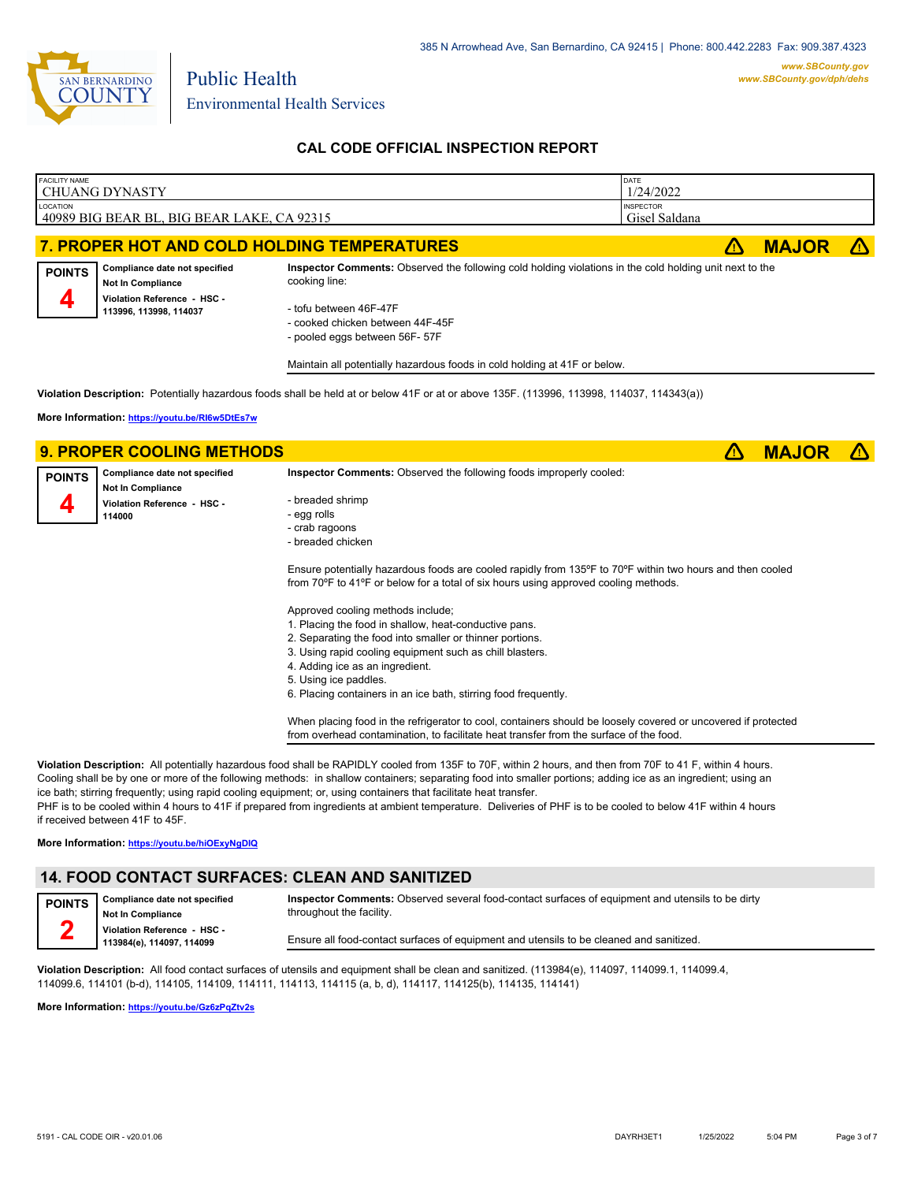

Environmental Health Services

Public Health

# **CAL CODE OFFICIAL INSPECTION REPORT**

| <b>FACILITY NAME</b> |                                                                                                                    |                                                                                                                                                    | DATE             |    |              |  |
|----------------------|--------------------------------------------------------------------------------------------------------------------|----------------------------------------------------------------------------------------------------------------------------------------------------|------------------|----|--------------|--|
|                      | <b>CHUANG DYNASTY</b>                                                                                              |                                                                                                                                                    | 1/24/2022        |    |              |  |
| LOCATION             |                                                                                                                    |                                                                                                                                                    | <b>INSPECTOR</b> |    |              |  |
|                      | 40989 BIG BEAR BL, BIG BEAR LAKE, CA 92315                                                                         |                                                                                                                                                    | Gisel Saldana    |    |              |  |
|                      |                                                                                                                    | 7. PROPER HOT AND COLD HOLDING TEMPERATURES                                                                                                        |                  | ΛN | <b>MAJOR</b> |  |
| <b>POINTS</b>        | Compliance date not specified<br><b>Not In Compliance</b><br>Violation Reference - HSC -<br>113996, 113998, 114037 | Inspector Comments: Observed the following cold holding violations in the cold holding unit next to the<br>cooking line:<br>- tofu between 46F-47F |                  |    |              |  |
|                      |                                                                                                                    | - cooked chicken between 44F-45F<br>- pooled eggs between 56F- 57F                                                                                 |                  |    |              |  |
|                      |                                                                                                                    | Maintain all potentially hazardous foods in cold holding at 41F or below.                                                                          |                  |    |              |  |
|                      |                                                                                                                    | Violation Description: Potentially hazardous foods shall be held at or below 41F or at or above 135F. (113996, 113998, 114037, 114343(a))          |                  |    |              |  |
|                      | More Information: https://youtu.be/RI6w5DtEs7w                                                                     |                                                                                                                                                    |                  |    |              |  |
|                      |                                                                                                                    |                                                                                                                                                    |                  |    |              |  |
|                      |                                                                                                                    |                                                                                                                                                    |                  |    |              |  |
|                      | <b>9. PROPER COOLING METHODS</b>                                                                                   |                                                                                                                                                    |                  | Δ  | <b>MAJOR</b> |  |
| <b>POINTS</b>        | Compliance date not specified<br><b>Not In Compliance</b>                                                          | Inspector Comments: Observed the following foods improperly cooled:                                                                                |                  |    |              |  |
|                      | Violation Reference - HSC -                                                                                        | - breaded shrimp                                                                                                                                   |                  |    |              |  |
|                      | 114000                                                                                                             | - egg rolls                                                                                                                                        |                  |    |              |  |
|                      |                                                                                                                    | - crab ragoons                                                                                                                                     |                  |    |              |  |
|                      |                                                                                                                    | - breaded chicken                                                                                                                                  |                  |    |              |  |
|                      |                                                                                                                    |                                                                                                                                                    |                  |    |              |  |
|                      |                                                                                                                    | Ensure potentially hazardous foods are cooled rapidly from 135°F to 70°F within two hours and then cooled                                          |                  |    |              |  |
|                      |                                                                                                                    | from 70°F to 41°F or below for a total of six hours using approved cooling methods.                                                                |                  |    |              |  |
|                      |                                                                                                                    | Approved cooling methods include;                                                                                                                  |                  |    |              |  |
|                      |                                                                                                                    | 1. Placing the food in shallow, heat-conductive pans.                                                                                              |                  |    |              |  |
|                      |                                                                                                                    |                                                                                                                                                    |                  |    |              |  |
|                      |                                                                                                                    | 2. Separating the food into smaller or thinner portions.                                                                                           |                  |    |              |  |
|                      |                                                                                                                    | 3. Using rapid cooling equipment such as chill blasters.                                                                                           |                  |    |              |  |
|                      |                                                                                                                    | 4. Adding ice as an ingredient.                                                                                                                    |                  |    |              |  |
|                      |                                                                                                                    | 5. Using ice paddles.                                                                                                                              |                  |    |              |  |
|                      |                                                                                                                    | 6. Placing containers in an ice bath, stirring food frequently.                                                                                    |                  |    |              |  |

**Violation Description:** All potentially hazardous food shall be RAPIDLY cooled from 135F to 70F, within 2 hours, and then from 70F to 41 F, within 4 hours. Cooling shall be by one or more of the following methods: in shallow containers; separating food into smaller portions; adding ice as an ingredient; using an ice bath; stirring frequently; using rapid cooling equipment; or, using containers that facilitate heat transfer.

PHF is to be cooled within 4 hours to 41F if prepared from ingredients at ambient temperature. Deliveries of PHF is to be cooled to below 41F within 4 hours if received between 41F to 45F.

**More Information: <https://youtu.be/hiOExyNgDIQ>**

# **14. FOOD CONTACT SURFACES: CLEAN AND SANITIZED**

**Compliance date not specified Not In Compliance Violation Reference - HSC - 113984(e), 114097, 114099 POINTS 2 Inspector Comments:** Observed several food-contact surfaces of equipment and utensils to be dirty throughout the facility. Ensure all food-contact surfaces of equipment and utensils to be cleaned and sanitized.

**Violation Description:** All food contact surfaces of utensils and equipment shall be clean and sanitized. (113984(e), 114097, 114099.1, 114099.4, 114099.6, 114101 (b-d), 114105, 114109, 114111, 114113, 114115 (a, b, d), 114117, 114125(b), 114135, 114141)

**More Information: <https://youtu.be/Gz6zPqZtv2s>**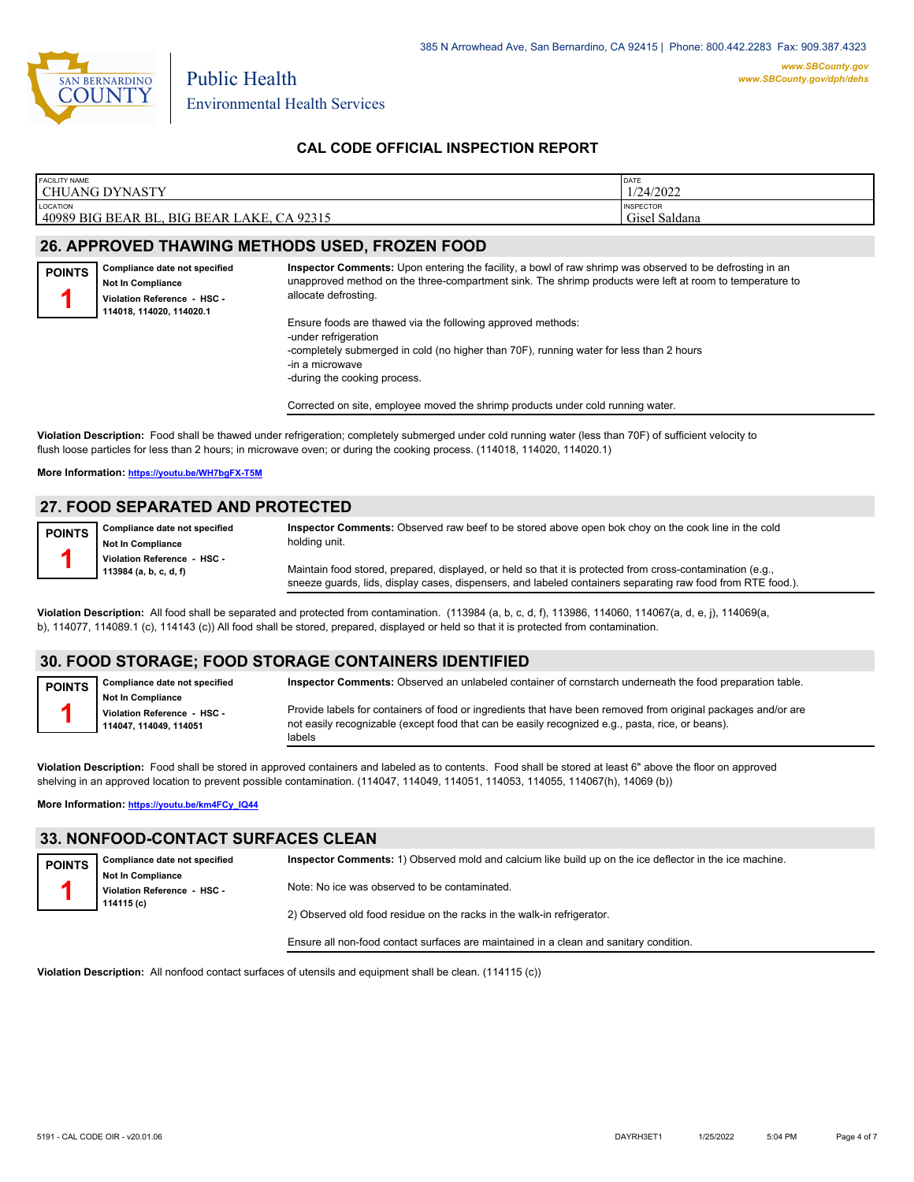

### **CAL CODE OFFICIAL INSPECTION REPORT**

| <b>FACILITY NAME</b>                                                                  | DATE                                   |
|---------------------------------------------------------------------------------------|----------------------------------------|
| <b>CHUANG DYNASTY</b>                                                                 | 1/24/2022                              |
| LOCATION<br>40989 BIG BEAR BL.<br>AKE<br>92315 ،<br>$C_{\Delta}$<br><b>BIG BEAR I</b> | <b>INSPECTOR</b><br>' Saldana<br>Gisel |

#### **26. APPROVED THAWING METHODS USED, FROZEN FOOD**

| <b>POINTS</b> | Compliance date not specified<br><b>Not In Compliance</b><br>Violation Reference - HSC - | Inspector Comments: Upon entering the facility, a bowl of raw shrimp was observed to be defrosting in an<br>unapproved method on the three-compartment sink. The shrimp products were left at room to temperature to<br>allocate defrosting. |
|---------------|------------------------------------------------------------------------------------------|----------------------------------------------------------------------------------------------------------------------------------------------------------------------------------------------------------------------------------------------|
|               | 114018, 114020, 114020.1                                                                 | Ensure foods are thawed via the following approved methods:                                                                                                                                                                                  |

via the following approved methods: -under refrigeration -completely submerged in cold (no higher than 70F), running water for less than 2 hours -in a microwave -during the cooking process.

Corrected on site, employee moved the shrimp products under cold running water.

**Violation Description:** Food shall be thawed under refrigeration; completely submerged under cold running water (less than 70F) of sufficient velocity to flush loose particles for less than 2 hours; in microwave oven; or during the cooking process. (114018, 114020, 114020.1)

#### **More Information: <https://youtu.be/WH7bgFX-T5M>**

#### **27. FOOD SEPARATED AND PROTECTED**

| <b>POINTS</b> | Compliance date not specified |
|---------------|-------------------------------|
|               | Not In Compliance             |
|               | Violation Reference - HSC -   |
|               | 113984 (a, b, c, d, f)        |

**1**

**Inspector Comments:** Observed raw beef to be stored above open bok choy on the cook line in the cold holding unit.

Maintain food stored, prepared, displayed, or held so that it is protected from cross-contamination (e.g., sneeze guards, lids, display cases, dispensers, and labeled containers separating raw food from RTE food.).

**Violation Description:** All food shall be separated and protected from contamination. (113984 (a, b, c, d, f), 113986, 114060, 114067(a, d, e, j), 114069(a, b), 114077, 114089.1 (c), 114143 (c)) All food shall be stored, prepared, displayed or held so that it is protected from contamination.

#### **30. FOOD STORAGE; FOOD STORAGE CONTAINERS IDENTIFIED**

**Compliance date not specified Not In Compliance POINTS**

**Violation Reference - HSC - 114047, 114049, 114051**

**Inspector Comments:** Observed an unlabeled container of cornstarch underneath the food preparation table.

Provide labels for containers of food or ingredients that have been removed from original packages and/or are not easily recognizable (except food that can be easily recognized e.g., pasta, rice, or beans). labels

**Violation Description:** Food shall be stored in approved containers and labeled as to contents. Food shall be stored at least 6" above the floor on approved shelving in an approved location to prevent possible contamination. (114047, 114049, 114051, 114053, 114055, 114067(h), 14069 (b))

**More Information: [https://youtu.be/km4FCy\\_IQ44](https://youtu.be/km4FCy_IQ44)**

# **33. NONFOOD-CONTACT SURFACES CLEAN**

| <b>POINTS</b> | Compliance date not specified | Inspector Comments: 1) Observed mold and calcium like build up on the ice deflector in the ice machine. |  |  |
|---------------|-------------------------------|---------------------------------------------------------------------------------------------------------|--|--|
|               | <b>Not In Compliance</b>      |                                                                                                         |  |  |
|               | Violation Reference - HSC -   | Note: No ice was observed to be contaminated.                                                           |  |  |
|               | 114115 (c)                    |                                                                                                         |  |  |
|               |                               | 2) Observed old food residue on the racks in the walk-in refrigerator.                                  |  |  |
|               |                               |                                                                                                         |  |  |

Ensure all non-food contact surfaces are maintained in a clean and sanitary condition.

**Violation Description:** All nonfood contact surfaces of utensils and equipment shall be clean. (114115 (c))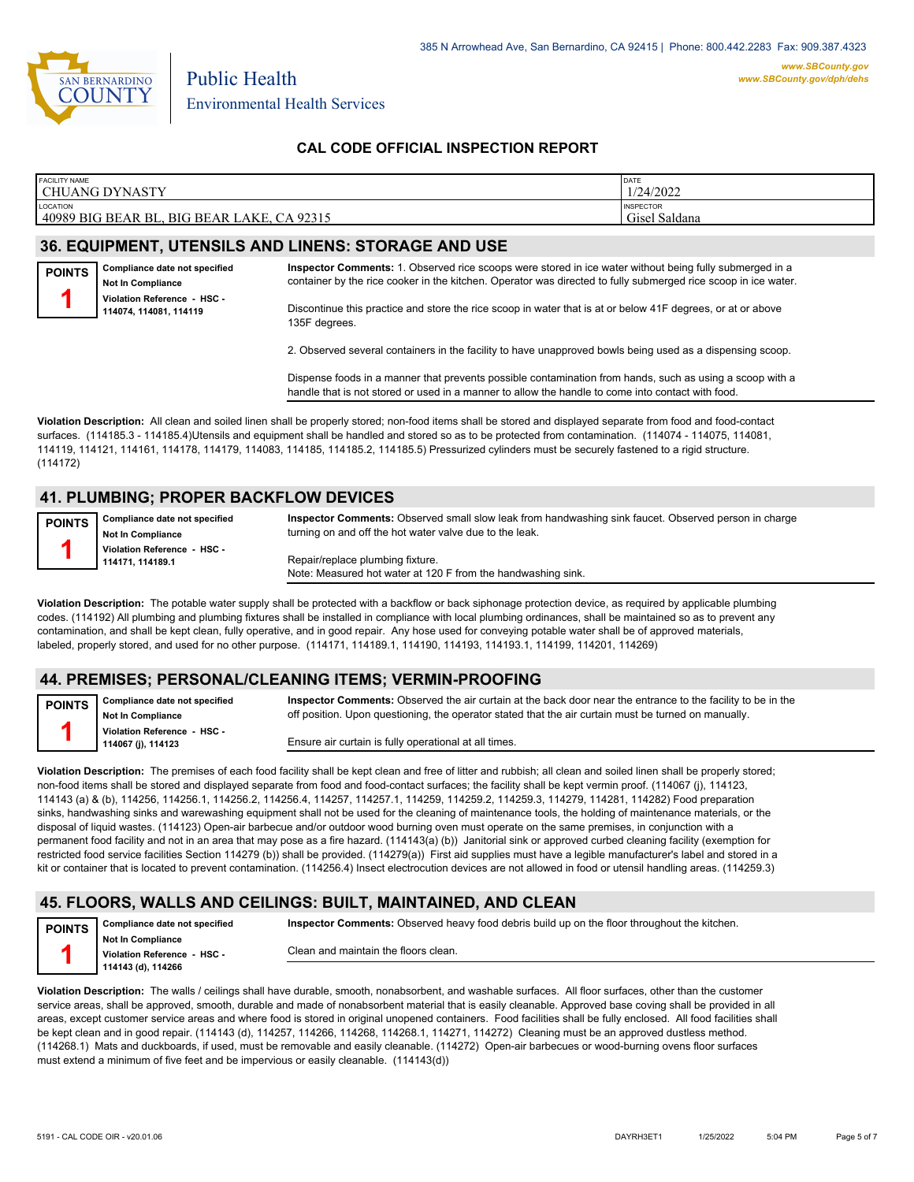

#### **CAL CODE OFFICIAL INSPECTION REPORT**

| <b>FACILITY NAME</b>                                                    | DATE                                               |
|-------------------------------------------------------------------------|----------------------------------------------------|
| <b>CHUANG DYNASTY</b>                                                   | 1/24/2022                                          |
| <b>LOCATION</b><br>40989<br>CA 92315<br>) BIG BEAR BL.<br>BIG BEAR LAKE | <b>INSPECTOR</b><br><sup>-1</sup> Saldana<br>Gisel |

## **36. EQUIPMENT, UTENSILS AND LINENS: STORAGE AND USE**

**Compliance date not specified Not In Compliance Violation Reference - HSC - 114074, 114081, 114119 POINTS 1**

**Inspector Comments:** 1. Observed rice scoops were stored in ice water without being fully submerged in a container by the rice cooker in the kitchen. Operator was directed to fully submerged rice scoop in ice water.

Discontinue this practice and store the rice scoop in water that is at or below 41F degrees, or at or above 135F degrees.

2. Observed several containers in the facility to have unapproved bowls being used as a dispensing scoop.

Dispense foods in a manner that prevents possible contamination from hands, such as using a scoop with a handle that is not stored or used in a manner to allow the handle to come into contact with food.

**Violation Description:** All clean and soiled linen shall be properly stored; non-food items shall be stored and displayed separate from food and food-contact surfaces. (114185.3 - 114185.4)Utensils and equipment shall be handled and stored so as to be protected from contamination. (114074 - 114075, 114081, 114119, 114121, 114161, 114178, 114179, 114083, 114185, 114185.2, 114185.5) Pressurized cylinders must be securely fastened to a rigid structure. (114172)

#### **41. PLUMBING; PROPER BACKFLOW DEVICES**

| <b>POINTS</b> | <b>Compliance date not specified</b> | Inspector Comments: Observed small slow leak from handwashing sink faucet. Observed person in charge |
|---------------|--------------------------------------|------------------------------------------------------------------------------------------------------|
|               | <b>Not In Compliance</b>             | turning on and off the hot water valve due to the leak.                                              |
|               | Violation Reference - HSC -          |                                                                                                      |
|               | 114171.114189.1                      | Repair/replace plumbing fixture.                                                                     |
|               |                                      | Note: Measured hot water at 120 F from the handwashing sink.                                         |

**Violation Description:** The potable water supply shall be protected with a backflow or back siphonage protection device, as required by applicable plumbing codes. (114192) All plumbing and plumbing fixtures shall be installed in compliance with local plumbing ordinances, shall be maintained so as to prevent any contamination, and shall be kept clean, fully operative, and in good repair. Any hose used for conveying potable water shall be of approved materials, labeled, properly stored, and used for no other purpose. (114171, 114189.1, 114190, 114193, 114193.1, 114199, 114201, 114269)

#### **44. PREMISES; PERSONAL/CLEANING ITEMS; VERMIN-PROOFING**

**Compliance date not specified Not In Compliance POINTS 1**

**Violation Reference - HSC - 114067 (j), 114123**

**Inspector Comments:** Observed the air curtain at the back door near the entrance to the facility to be in the off position. Upon questioning, the operator stated that the air curtain must be turned on manually.

Ensure air curtain is fully operational at all times.

**Violation Description:** The premises of each food facility shall be kept clean and free of litter and rubbish; all clean and soiled linen shall be properly stored; non-food items shall be stored and displayed separate from food and food-contact surfaces; the facility shall be kept vermin proof. (114067 (j), 114123, 114143 (a) & (b), 114256, 114256.1, 114256.2, 114256.4, 114257, 114257.1, 114259, 114259.2, 114259.3, 114279, 114281, 114282) Food preparation sinks, handwashing sinks and warewashing equipment shall not be used for the cleaning of maintenance tools, the holding of maintenance materials, or the disposal of liquid wastes. (114123) Open-air barbecue and/or outdoor wood burning oven must operate on the same premises, in conjunction with a permanent food facility and not in an area that may pose as a fire hazard. (114143(a) (b)) Janitorial sink or approved curbed cleaning facility (exemption for restricted food service facilities Section 114279 (b)) shall be provided. (114279(a)) First aid supplies must have a legible manufacturer's label and stored in a kit or container that is located to prevent contamination. (114256.4) Insect electrocution devices are not allowed in food or utensil handling areas. (114259.3)

#### **45. FLOORS, WALLS AND CEILINGS: BUILT, MAINTAINED, AND CLEAN**

**POINTS 1**

**Inspector Comments:** Observed heavy food debris build up on the floor throughout the kitchen.

**Not In Compliance Violation Reference - HSC - 114143 (d), 114266**

**Compliance date not specified**

Clean and maintain the floors clean.

**Violation Description:** The walls / ceilings shall have durable, smooth, nonabsorbent, and washable surfaces. All floor surfaces, other than the customer service areas, shall be approved, smooth, durable and made of nonabsorbent material that is easily cleanable. Approved base coving shall be provided in all areas, except customer service areas and where food is stored in original unopened containers. Food facilities shall be fully enclosed. All food facilities shall be kept clean and in good repair. (114143 (d), 114257, 114266, 114268, 114268.1, 114271, 114272) Cleaning must be an approved dustless method. (114268.1) Mats and duckboards, if used, must be removable and easily cleanable. (114272) Open-air barbecues or wood-burning ovens floor surfaces must extend a minimum of five feet and be impervious or easily cleanable. (114143(d))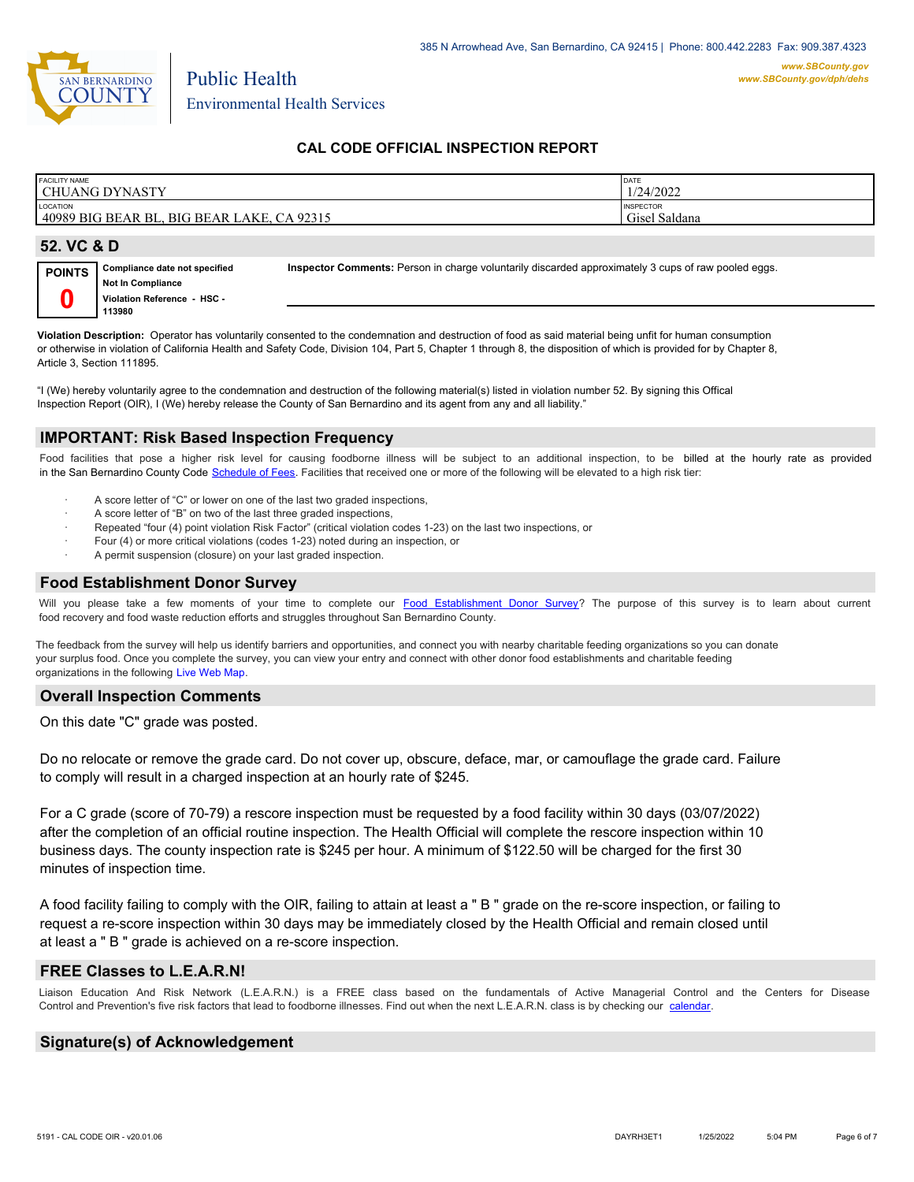

Environmental Health Services

Public Health

### **CAL CODE OFFICIAL INSPECTION REPORT**

| <b>FACILITY NAME</b><br>CHUANG DYNASTY                      | DATE<br>1/24/2022                 |
|-------------------------------------------------------------|-----------------------------------|
| LOCATION<br>40989 BIG BEAR BL.<br>, BIG BEAR LAKE, CA 92315 | <b>INSPECTOR</b><br>Gisel Saldana |
|                                                             |                                   |

#### **52. VC & D**

| POINTS | Compliance date not specified | Inspector Comments: Person in charge voluntarily discarded approximately 3 cups of raw pooled eggs. |
|--------|-------------------------------|-----------------------------------------------------------------------------------------------------|
|        | <b>Not In Compliance</b>      |                                                                                                     |
|        | Violation Reference - HSC -   |                                                                                                     |
|        | 113980                        |                                                                                                     |

**Violation Description:** Operator has voluntarily consented to the condemnation and destruction of food as said material being unfit for human consumption or otherwise in violation of California Health and Safety Code, Division 104, Part 5, Chapter 1 through 8, the disposition of which is provided for by Chapter 8, Article 3, Section 111895.

"I (We) hereby voluntarily agree to the condemnation and destruction of the following material(s) listed in violation number 52. By signing this Offical Inspection Report (OIR), I (We) hereby release the County of San Bernardino and its agent from any and all liability."

#### **IMPORTANT: Risk Based Inspection Frequency**

Food facilities that pose a higher risk level for causing foodborne illness will be subject to an additional inspection, to be billed at the hourly rate as provided in the San Bernardino Count[y Code Schedule of Fees. Facilitie](https://codelibrary.amlegal.com/codes/sanbernardino/latest/sanberncty_ca/0-0-0-122474#JD_16.0213B)s that received one or more of the following will be elevated to a high risk tier:

- A score letter of "C" or lower on one of the last two graded inspections,
- A score letter of "B" on two of the last three graded inspections,
- Repeated "four (4) point violation Risk Factor" (critical violation codes 1-23) on the last two inspections, or
- Four (4) or more critical violations (codes 1-23) noted during an inspection, or
- A permit suspension (closure) on your last graded inspection.

# **Food Establishment Donor Survey**

Will you please take a few moments of your time to complete our **Food Establishment Donor Survey**? The purpose of this survey is to learn about current food recovery and food waste reduction efforts and struggles throughout San Bernardino County.

The feedback from the survey will help us identify barriers and opportunities, and connect you with nearby charitable feeding organizations so you can donate your surplus food. Once you complete the survey, you can view your entry and connect with other donor food establishments and charitable feeding organizations in the fol[lowing Live Web Map.](https://arcg.is/WvjGb)

#### **Overall Inspection Comments**

On this date "C" grade was posted.

Do no relocate or remove the grade card. Do not cover up, obscure, deface, mar, or camouflage the grade card. Failure to comply will result in a charged inspection at an hourly rate of \$245.

For a C grade (score of 70-79) a rescore inspection must be requested by a food facility within 30 days (03/07/2022) after the completion of an official routine inspection. The Health Official will complete the rescore inspection within 10 business days. The county inspection rate is \$245 per hour. A minimum of \$122.50 will be charged for the first 30 minutes of inspection time.

A food facility failing to comply with the OIR, failing to attain at least a " B " grade on the re-score inspection, or failing to request a re-score inspection within 30 days may be immediately closed by the Health Official and remain closed until at least a " B " grade is achieved on a re-score inspection.

#### **FREE Classes to L.E.A.R.N!**

Liaison Education And Risk Network (L.E.A.R.N.) is a FREE class based on the fundamentals of Active Managerial Control and the Centers for Disease Control and Prevention's five risk factors that lead to foodborne illnesses. Find out when the next L.E.A.R.N. class is by checking our [calendar.](http://wp.sbcounty.gov/dph/events/)

### **Signature(s) of Acknowledgement**